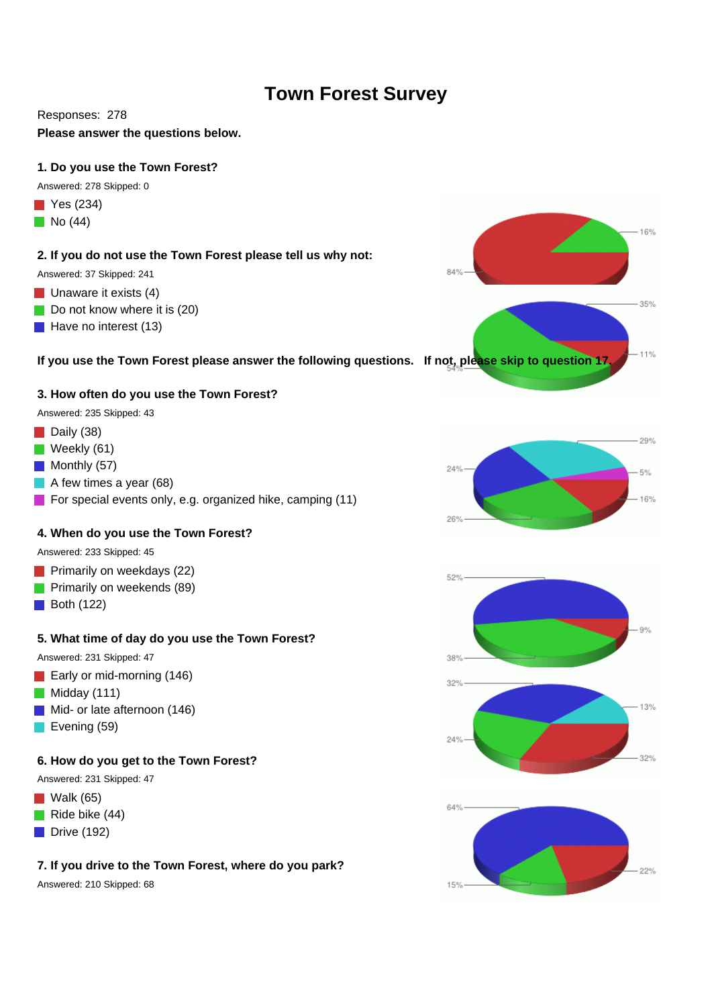# **Town Forest Survey**

### Responses: 278

**Please answer the questions below.** 

### **1. Do you use the Town Forest?**

Answered: 278 Skipped: 0

- $\blacksquare$  Yes (234)
- $\blacksquare$  No (44)

### **2. If you do not use the Town Forest please tell us why not:**

Answered: 37 Skipped: 241

- $\blacksquare$  Unaware it exists (4)
- Do not know where it is (20)
- $\blacksquare$  Have no interest (13)

### **If you use the Town Forest please answer the following questions. If not, please skip to question 17.**

### **3. How often do you use the Town Forest?**

Answered: 235 Skipped: 43

- Daily (38)
- $\blacksquare$  Weekly (61)
- $\blacksquare$  Monthly (57)
- A few times a year (68)
- **For special events only, e.g. organized hike, camping (11)**

### **4. When do you use the Town Forest?**

Answered: 233 Skipped: 45

- **Primarily on weekdays (22)**
- **Primarily on weekends (89)**
- $\blacksquare$  Both (122)

### **5. What time of day do you use the Town Forest?**

Answered: 231 Skipped: 47

- Early or mid-morning (146)
- $\blacksquare$  Midday (111)
- Mid- or late afternoon (146)
- Evening (59)

### **6. How do you get to the Town Forest?**

Answered: 231 Skipped: 47

- $\blacksquare$  Walk (65)
- $\blacksquare$  Ride bike (44)
- $\blacksquare$  Drive (192)

## **7. If you drive to the Town Forest, where do you park?**

Answered: 210 Skipped: 68







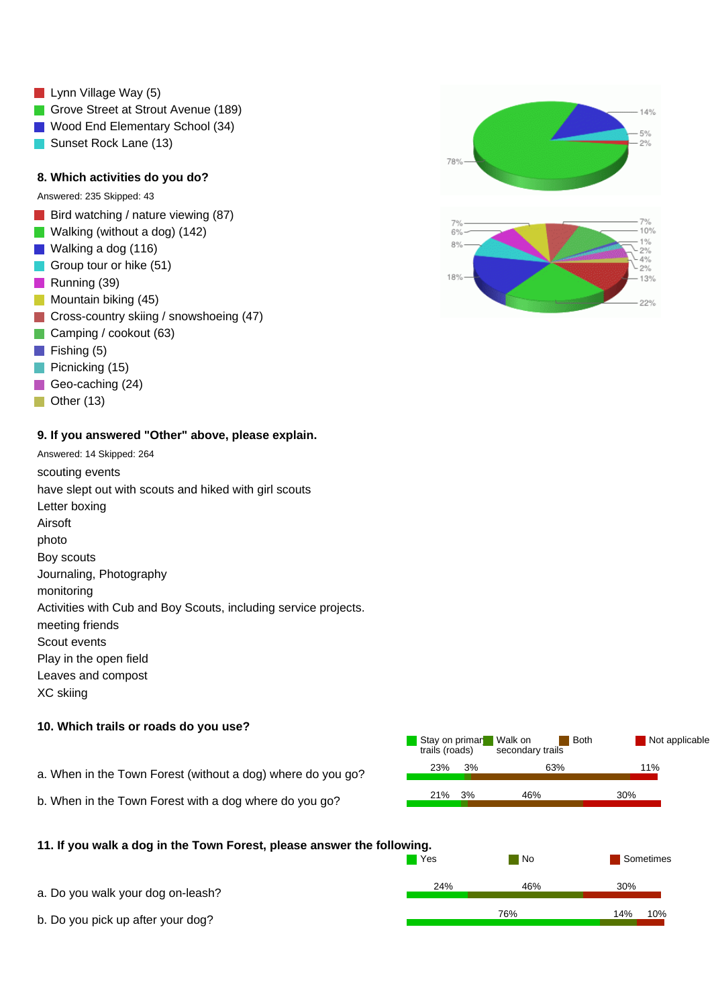- **Lynn Village Way (5)**
- Grove Street at Strout Avenue (189)
- **Wood End Elementary School (34)**
- Sunset Rock Lane (13)

### **8. Which activities do you do?**

Answered: 235 Skipped: 43

- Bird watching / nature viewing  $(87)$
- Walking (without a dog) (142)
- **Walking a dog (116)**
- Group tour or hike (51)
- Running (39)
- **Mountain biking (45)**
- **Cross-country skiing / snowshoeing (47)**
- Camping / cookout (63)
- $\blacksquare$  Fishing (5)
- $\blacksquare$  Picnicking (15)
- Geo-caching (24)
- $\Box$  Other (13)

#### **9. If you answered "Other" above, please explain.**

Answered: 14 Skipped: 264 scouting events have slept out with scouts and hiked with girl scouts Letter boxing Airsoft photo Boy scouts Journaling, Photography monitoring Activities with Cub and Boy Scouts, including service projects. meeting friends Scout events Play in the open field Leaves and compost XC skiing

### **10. Which trails or roads do you use?**



**No Sometimes** No Sometimes

### **11. If you walk a dog in the Town Forest, please answer the following.**

| a. Do you walk your dog on-leash? | 24% | 46% | 30% |     |
|-----------------------------------|-----|-----|-----|-----|
| b. Do you pick up after your dog? |     | 76% |     | 10% |

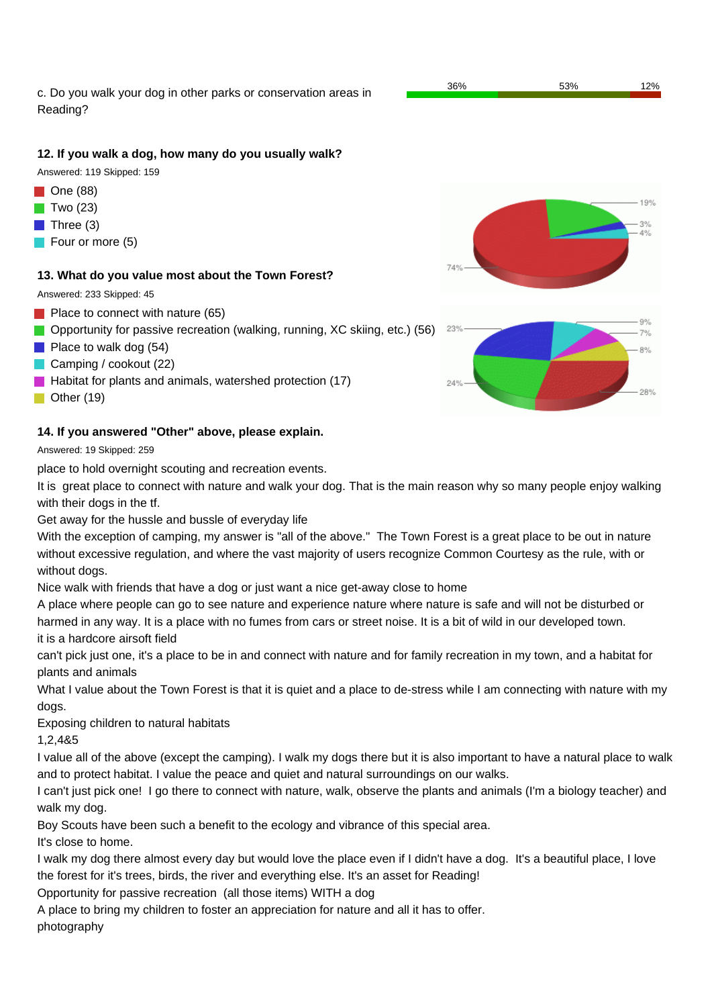c. Do you walk your dog in other parks or conservation areas in Reading?

### **12. If you walk a dog, how many do you usually walk?**

Answered: 119 Skipped: 159

- $\blacksquare$  One (88)
- Two (23)
- $\blacksquare$  Three (3)
- Four or more (5)

### **13. What do you value most about the Town Forest?**

Answered: 233 Skipped: 45

- **Place to connect with nature (65)**
- **Opportunity for passive recreation (walking, running, XC skiing, etc.) (56)**
- **Place to walk dog (54)**
- Camping / cookout (22)
- $\blacksquare$  Habitat for plants and animals, watershed protection (17)
- Other (19)

### **14. If you answered "Other" above, please explain.**

Answered: 19 Skipped: 259

place to hold overnight scouting and recreation events.

It is great place to connect with nature and walk your dog. That is the main reason why so many people enjoy walking with their dogs in the tf.

Get away for the hussle and bussle of everyday life

With the exception of camping, my answer is "all of the above." The Town Forest is a great place to be out in nature without excessive regulation, and where the vast majority of users recognize Common Courtesy as the rule, with or without dogs.

Nice walk with friends that have a dog or just want a nice get-away close to home

A place where people can go to see nature and experience nature where nature is safe and will not be disturbed or harmed in any way. It is a place with no fumes from cars or street noise. It is a bit of wild in our developed town.

it is a hardcore airsoft field

can't pick just one, it's a place to be in and connect with nature and for family recreation in my town, and a habitat for plants and animals

What I value about the Town Forest is that it is quiet and a place to de-stress while I am connecting with nature with my dogs.

Exposing children to natural habitats

1,2,4&5

I value all of the above (except the camping). I walk my dogs there but it is also important to have a natural place to walk and to protect habitat. I value the peace and quiet and natural surroundings on our walks.

I can't just pick one! I go there to connect with nature, walk, observe the plants and animals (I'm a biology teacher) and walk my dog.

Boy Scouts have been such a benefit to the ecology and vibrance of this special area.

It's close to home.

I walk my dog there almost every day but would love the place even if I didn't have a dog. It's a beautiful place, I love the forest for it's trees, birds, the river and everything else. It's an asset for Reading!

Opportunity for passive recreation (all those items) WITH a dog

A place to bring my children to foster an appreciation for nature and all it has to offer.

photography



36% 53% 12%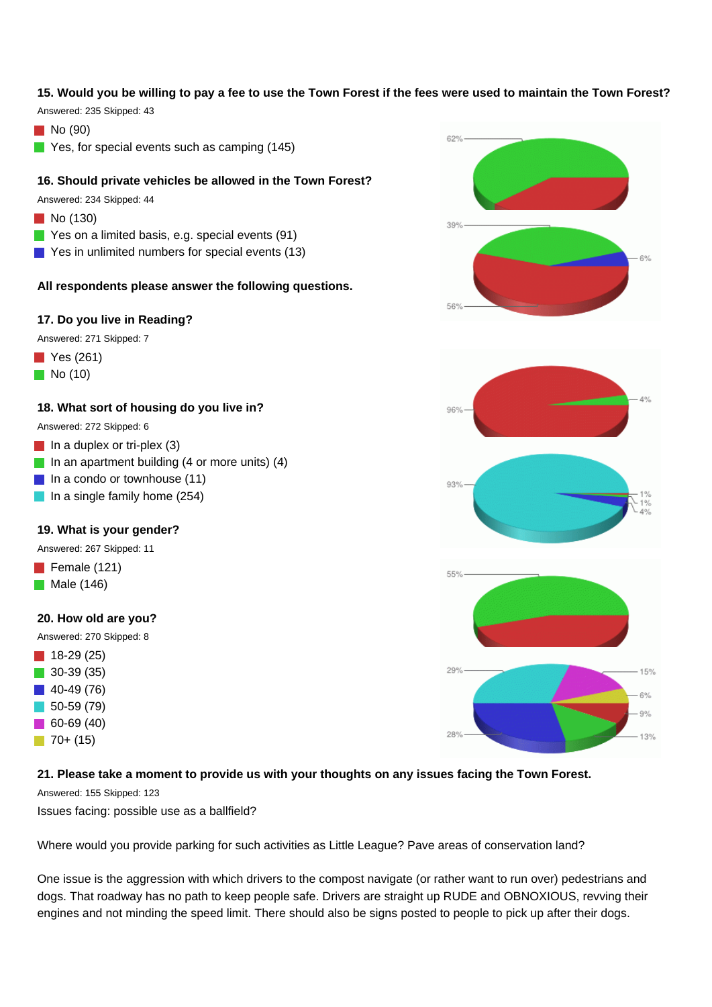### **15. Would you be willing to pay a fee to use the Town Forest if the fees were used to maintain the Town Forest?**

Answered: 235 Skipped: 43

 $\blacksquare$  No (90)

Yes, for special events such as camping (145)

#### **16. Should private vehicles be allowed in the Town Forest?**

Answered: 234 Skipped: 44

- **No** (130)
- Yes on a limited basis, e.g. special events (91)
- Yes in unlimited numbers for special events (13)

#### **All respondents please answer the following questions.**

#### **17. Do you live in Reading?**

Answered: 271 Skipped: 7

- **Yes** (261)
- $\blacksquare$  No (10)

#### **18. What sort of housing do you live in?**

Answered: 272 Skipped: 6

- $\blacksquare$  In a duplex or tri-plex (3)
- In an apartment building  $(4 \text{ or more units})$   $(4)$
- $\blacksquare$  In a condo or townhouse (11)
- $\blacksquare$  In a single family home (254)

#### **19. What is your gender?**

Answered: 267 Skipped: 11

- Female (121)
- $\blacksquare$  Male (146)

### **20. How old are you?**

Answered: 270 Skipped: 8

 $18-29(25)$  30-39 (35) 40-49 (76) 50-59 (79) 60-69 (40)  $\Box$  70+ (15)

#### **21. Please take a moment to provide us with your thoughts on any issues facing the Town Forest.**

Answered: 155 Skipped: 123

Issues facing: possible use as a ballfield?

Where would you provide parking for such activities as Little League? Pave areas of conservation land?

One issue is the aggression with which drivers to the compost navigate (or rather want to run over) pedestrians and dogs. That roadway has no path to keep people safe. Drivers are straight up RUDE and OBNOXIOUS, revving their engines and not minding the speed limit. There should also be signs posted to people to pick up after their dogs.





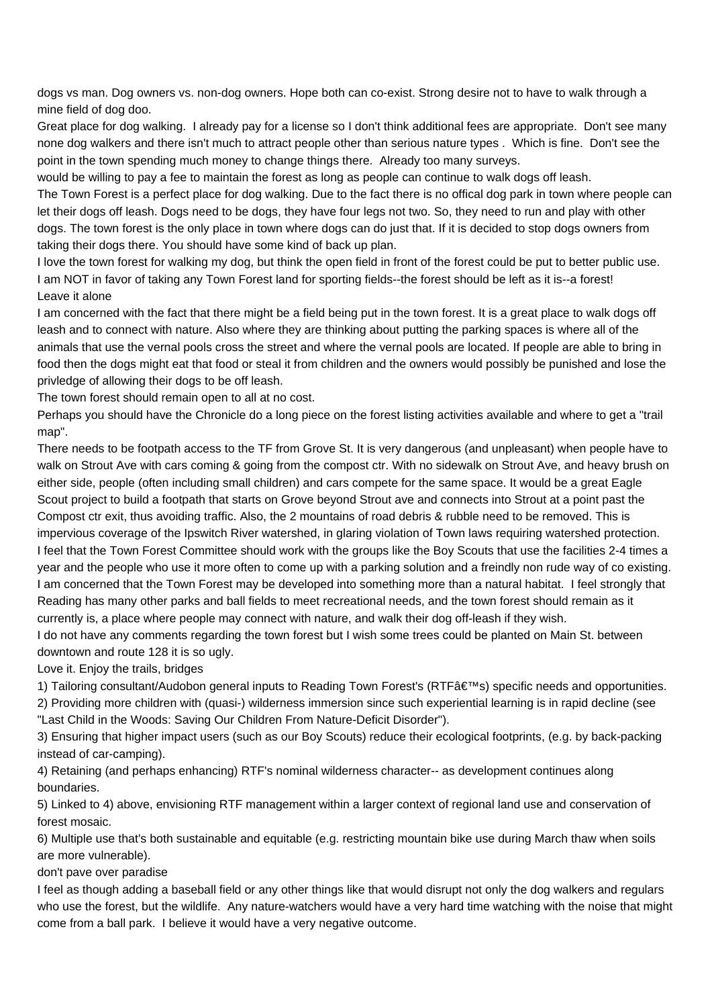dogs vs man. Dog owners vs. non-dog owners. Hope both can co-exist. Strong desire not to have to walk through a mine field of dog doo.

Great place for dog walking. I already pay for a license so I don't think additional fees are appropriate. Don't see many none dog walkers and there isn't much to attract people other than serious nature types . Which is fine. Don't see the point in the town spending much money to change things there. Already too many surveys.

would be willing to pay a fee to maintain the forest as long as people can continue to walk dogs off leash.

The Town Forest is a perfect place for dog walking. Due to the fact there is no offical dog park in town where people can let their dogs off leash. Dogs need to be dogs, they have four legs not two. So, they need to run and play with other dogs. The town forest is the only place in town where dogs can do just that. If it is decided to stop dogs owners from taking their dogs there. You should have some kind of back up plan.

I love the town forest for walking my dog, but think the open field in front of the forest could be put to better public use. I am NOT in favor of taking any Town Forest land for sporting fields--the forest should be left as it is--a forest! Leave it alone

I am concerned with the fact that there might be a field being put in the town forest. It is a great place to walk dogs off leash and to connect with nature. Also where they are thinking about putting the parking spaces is where all of the animals that use the vernal pools cross the street and where the vernal pools are located. If people are able to bring in food then the dogs might eat that food or steal it from children and the owners would possibly be punished and lose the privledge of allowing their dogs to be off leash.

The town forest should remain open to all at no cost.

Perhaps you should have the Chronicle do a long piece on the forest listing activities available and where to get a "trail map".

There needs to be footpath access to the TF from Grove St. It is very dangerous (and unpleasant) when people have to walk on Strout Ave with cars coming & going from the compost ctr. With no sidewalk on Strout Ave, and heavy brush on either side, people (often including small children) and cars compete for the same space. It would be a great Eagle Scout project to build a footpath that starts on Grove beyond Strout ave and connects into Strout at a point past the Compost ctr exit, thus avoiding traffic. Also, the 2 mountains of road debris & rubble need to be removed. This is impervious coverage of the Ipswitch River watershed, in glaring violation of Town laws requiring watershed protection. I feel that the Town Forest Committee should work with the groups like the Boy Scouts that use the facilities 2-4 times a year and the people who use it more often to come up with a parking solution and a freindly non rude way of co existing. I am concerned that the Town Forest may be developed into something more than a natural habitat. I feel strongly that Reading has many other parks and ball fields to meet recreational needs, and the town forest should remain as it currently is, a place where people may connect with nature, and walk their dog off-leash if they wish.

I do not have any comments regarding the town forest but I wish some trees could be planted on Main St. between downtown and route 128 it is so ugly.

Love it. Enjoy the trails, bridges

1) Tailoring consultant/Audobon general inputs to Reading Town Forest's (RTF's) specific needs and opportunities.

2) Providing more children with (quasi-) wilderness immersion since such experiential learning is in rapid decline (see "Last Child in the Woods: Saving Our Children From Nature-Deficit Disorder").

3) Ensuring that higher impact users (such as our Boy Scouts) reduce their ecological footprints, (e.g. by back-packing instead of car-camping).

4) Retaining (and perhaps enhancing) RTF's nominal wilderness character-- as development continues along boundaries.

5) Linked to 4) above, envisioning RTF management within a larger context of regional land use and conservation of forest mosaic.

6) Multiple use that's both sustainable and equitable (e.g. restricting mountain bike use during March thaw when soils are more vulnerable).

don't pave over paradise

I feel as though adding a baseball field or any other things like that would disrupt not only the dog walkers and regulars who use the forest, but the wildlife. Any nature-watchers would have a very hard time watching with the noise that might come from a ball park. I believe it would have a very negative outcome.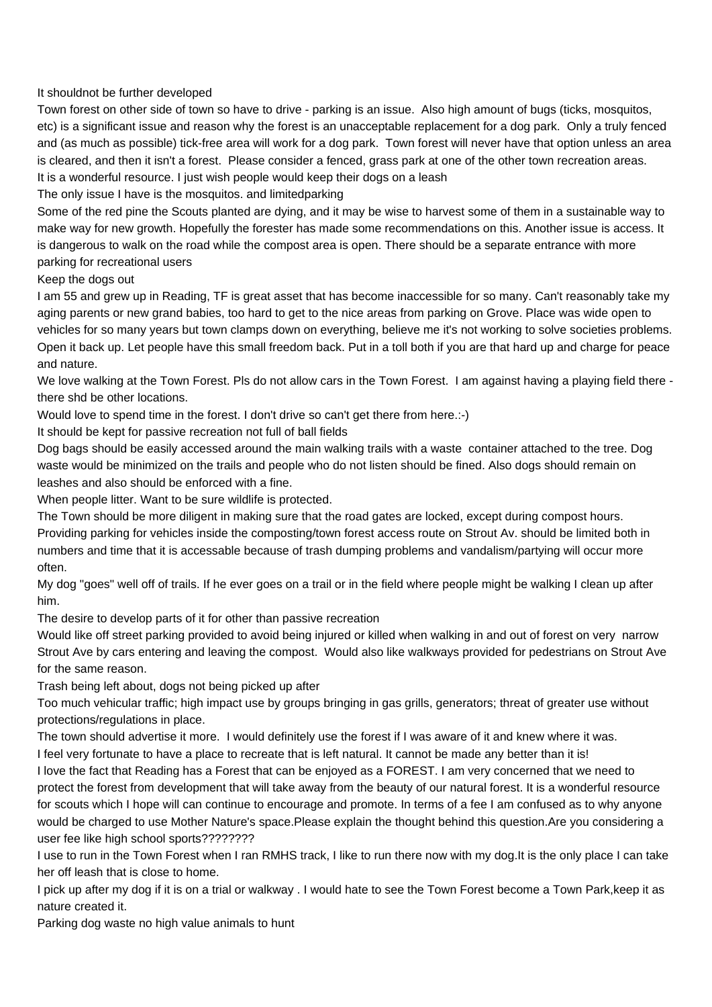It shouldnot be further developed

Town forest on other side of town so have to drive - parking is an issue. Also high amount of bugs (ticks, mosquitos, etc) is a significant issue and reason why the forest is an unacceptable replacement for a dog park. Only a truly fenced and (as much as possible) tick-free area will work for a dog park. Town forest will never have that option unless an area is cleared, and then it isn't a forest. Please consider a fenced, grass park at one of the other town recreation areas. It is a wonderful resource. I just wish people would keep their dogs on a leash

The only issue I have is the mosquitos. and limitedparking

Some of the red pine the Scouts planted are dying, and it may be wise to harvest some of them in a sustainable way to make way for new growth. Hopefully the forester has made some recommendations on this. Another issue is access. It is dangerous to walk on the road while the compost area is open. There should be a separate entrance with more parking for recreational users

Keep the dogs out

I am 55 and grew up in Reading, TF is great asset that has become inaccessible for so many. Can't reasonably take my aging parents or new grand babies, too hard to get to the nice areas from parking on Grove. Place was wide open to vehicles for so many years but town clamps down on everything, believe me it's not working to solve societies problems. Open it back up. Let people have this small freedom back. Put in a toll both if you are that hard up and charge for peace and nature.

We love walking at the Town Forest. Pls do not allow cars in the Town Forest. I am against having a playing field there there shd be other locations.

Would love to spend time in the forest. I don't drive so can't get there from here.:-)

It should be kept for passive recreation not full of ball fields

Dog bags should be easily accessed around the main walking trails with a waste container attached to the tree. Dog waste would be minimized on the trails and people who do not listen should be fined. Also dogs should remain on leashes and also should be enforced with a fine.

When people litter. Want to be sure wildlife is protected.

The Town should be more diligent in making sure that the road gates are locked, except during compost hours. Providing parking for vehicles inside the composting/town forest access route on Strout Av. should be limited both in numbers and time that it is accessable because of trash dumping problems and vandalism/partying will occur more often.

My dog "goes" well off of trails. If he ever goes on a trail or in the field where people might be walking I clean up after him.

The desire to develop parts of it for other than passive recreation

Would like off street parking provided to avoid being injured or killed when walking in and out of forest on very narrow Strout Ave by cars entering and leaving the compost. Would also like walkways provided for pedestrians on Strout Ave for the same reason.

Trash being left about, dogs not being picked up after

Too much vehicular traffic; high impact use by groups bringing in gas grills, generators; threat of greater use without protections/regulations in place.

The town should advertise it more. I would definitely use the forest if I was aware of it and knew where it was.

I feel very fortunate to have a place to recreate that is left natural. It cannot be made any better than it is!

I love the fact that Reading has a Forest that can be enjoyed as a FOREST. I am very concerned that we need to protect the forest from development that will take away from the beauty of our natural forest. It is a wonderful resource for scouts which I hope will can continue to encourage and promote. In terms of a fee I am confused as to why anyone would be charged to use Mother Nature's space.Please explain the thought behind this question.Are you considering a user fee like high school sports????????

I use to run in the Town Forest when I ran RMHS track, I like to run there now with my dog.It is the only place I can take her off leash that is close to home.

I pick up after my dog if it is on a trial or walkway . I would hate to see the Town Forest become a Town Park,keep it as nature created it.

Parking dog waste no high value animals to hunt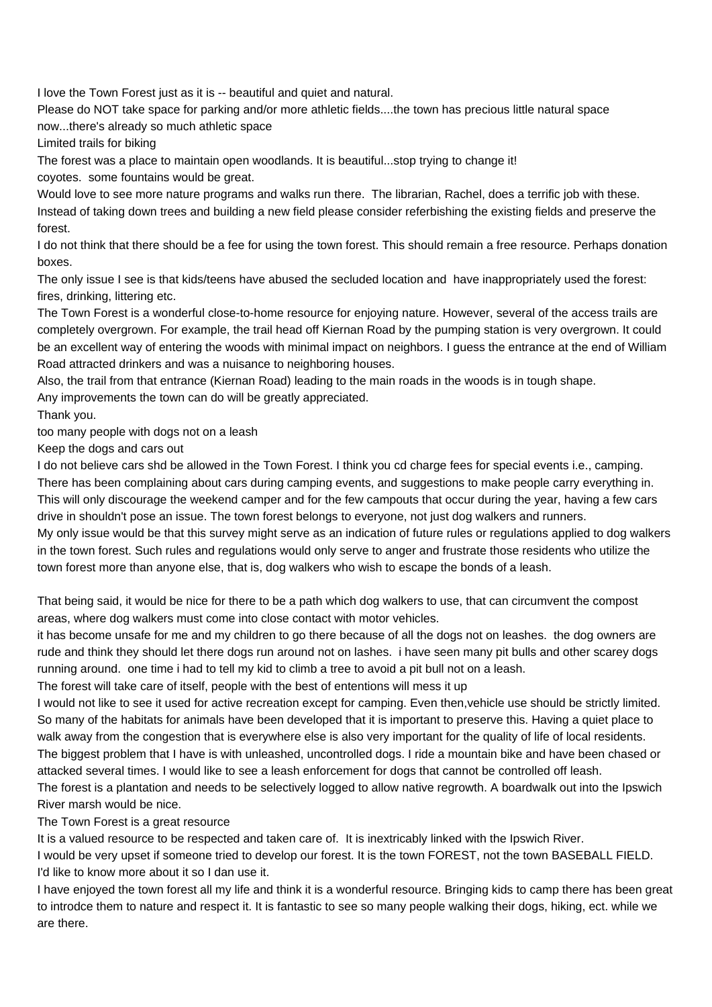I love the Town Forest just as it is -- beautiful and quiet and natural.

Please do NOT take space for parking and/or more athletic fields....the town has precious little natural space now...there's already so much athletic space

Limited trails for biking

The forest was a place to maintain open woodlands. It is beautiful...stop trying to change it!

coyotes. some fountains would be great.

Would love to see more nature programs and walks run there. The librarian, Rachel, does a terrific job with these. Instead of taking down trees and building a new field please consider referbishing the existing fields and preserve the forest.

I do not think that there should be a fee for using the town forest. This should remain a free resource. Perhaps donation boxes.

The only issue I see is that kids/teens have abused the secluded location and have inappropriately used the forest: fires, drinking, littering etc.

The Town Forest is a wonderful close-to-home resource for enjoying nature. However, several of the access trails are completely overgrown. For example, the trail head off Kiernan Road by the pumping station is very overgrown. It could be an excellent way of entering the woods with minimal impact on neighbors. I guess the entrance at the end of William Road attracted drinkers and was a nuisance to neighboring houses.

Also, the trail from that entrance (Kiernan Road) leading to the main roads in the woods is in tough shape.

Any improvements the town can do will be greatly appreciated.

Thank you.

too many people with dogs not on a leash

Keep the dogs and cars out

I do not believe cars shd be allowed in the Town Forest. I think you cd charge fees for special events i.e., camping. There has been complaining about cars during camping events, and suggestions to make people carry everything in. This will only discourage the weekend camper and for the few campouts that occur during the year, having a few cars drive in shouldn't pose an issue. The town forest belongs to everyone, not just dog walkers and runners.

My only issue would be that this survey might serve as an indication of future rules or regulations applied to dog walkers in the town forest. Such rules and regulations would only serve to anger and frustrate those residents who utilize the town forest more than anyone else, that is, dog walkers who wish to escape the bonds of a leash.

That being said, it would be nice for there to be a path which dog walkers to use, that can circumvent the compost areas, where dog walkers must come into close contact with motor vehicles.

it has become unsafe for me and my children to go there because of all the dogs not on leashes. the dog owners are rude and think they should let there dogs run around not on lashes. i have seen many pit bulls and other scarey dogs running around. one time i had to tell my kid to climb a tree to avoid a pit bull not on a leash.

The forest will take care of itself, people with the best of ententions will mess it up

I would not like to see it used for active recreation except for camping. Even then,vehicle use should be strictly limited. So many of the habitats for animals have been developed that it is important to preserve this. Having a quiet place to walk away from the congestion that is everywhere else is also very important for the quality of life of local residents. The biggest problem that I have is with unleashed, uncontrolled dogs. I ride a mountain bike and have been chased or attacked several times. I would like to see a leash enforcement for dogs that cannot be controlled off leash.

The forest is a plantation and needs to be selectively logged to allow native regrowth. A boardwalk out into the Ipswich River marsh would be nice.

The Town Forest is a great resource

It is a valued resource to be respected and taken care of. It is inextricably linked with the Ipswich River.

I would be very upset if someone tried to develop our forest. It is the town FOREST, not the town BASEBALL FIELD. I'd like to know more about it so I dan use it.

I have enjoyed the town forest all my life and think it is a wonderful resource. Bringing kids to camp there has been great to introdce them to nature and respect it. It is fantastic to see so many people walking their dogs, hiking, ect. while we are there.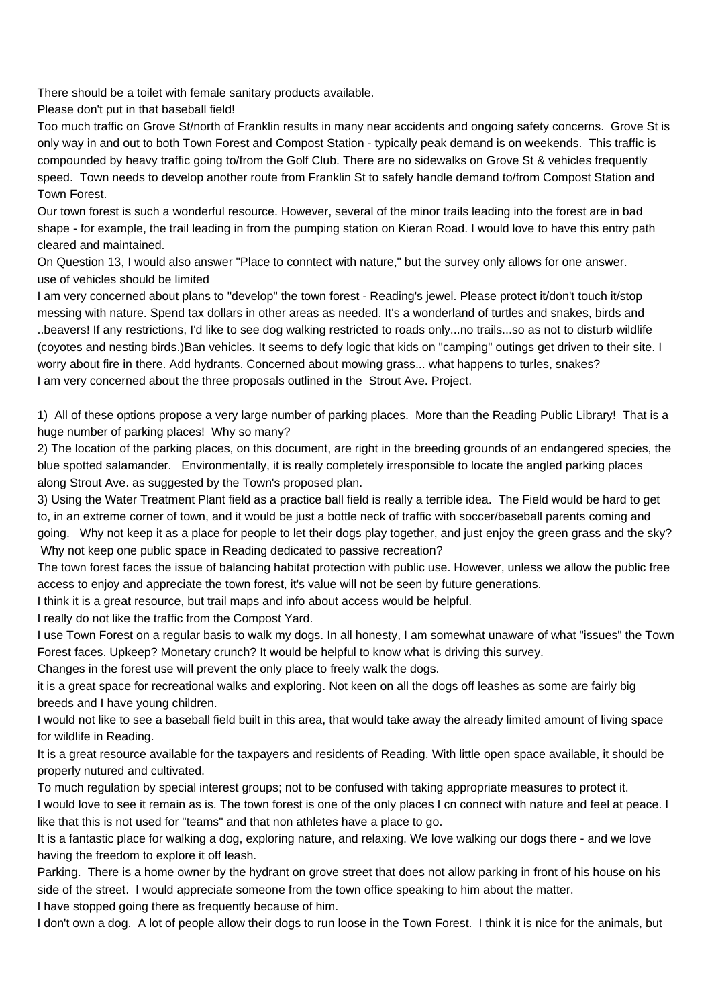There should be a toilet with female sanitary products available.

Please don't put in that baseball field!

Too much traffic on Grove St/north of Franklin results in many near accidents and ongoing safety concerns. Grove St is only way in and out to both Town Forest and Compost Station - typically peak demand is on weekends. This traffic is compounded by heavy traffic going to/from the Golf Club. There are no sidewalks on Grove St & vehicles frequently speed. Town needs to develop another route from Franklin St to safely handle demand to/from Compost Station and Town Forest.

Our town forest is such a wonderful resource. However, several of the minor trails leading into the forest are in bad shape - for example, the trail leading in from the pumping station on Kieran Road. I would love to have this entry path cleared and maintained.

On Question 13, I would also answer "Place to conntect with nature," but the survey only allows for one answer. use of vehicles should be limited

I am very concerned about plans to "develop" the town forest - Reading's jewel. Please protect it/don't touch it/stop messing with nature. Spend tax dollars in other areas as needed. It's a wonderland of turtles and snakes, birds and ..beavers! If any restrictions, I'd like to see dog walking restricted to roads only...no trails...so as not to disturb wildlife (coyotes and nesting birds.)Ban vehicles. It seems to defy logic that kids on "camping" outings get driven to their site. I worry about fire in there. Add hydrants. Concerned about mowing grass... what happens to turles, snakes? I am very concerned about the three proposals outlined in the Strout Ave. Project.

1) All of these options propose a very large number of parking places. More than the Reading Public Library! That is a huge number of parking places! Why so many?

2) The location of the parking places, on this document, are right in the breeding grounds of an endangered species, the blue spotted salamander. Environmentally, it is really completely irresponsible to locate the angled parking places along Strout Ave. as suggested by the Town's proposed plan.

3) Using the Water Treatment Plant field as a practice ball field is really a terrible idea. The Field would be hard to get to, in an extreme corner of town, and it would be just a bottle neck of traffic with soccer/baseball parents coming and going. Why not keep it as a place for people to let their dogs play together, and just enjoy the green grass and the sky? Why not keep one public space in Reading dedicated to passive recreation?

The town forest faces the issue of balancing habitat protection with public use. However, unless we allow the public free access to enjoy and appreciate the town forest, it's value will not be seen by future generations.

I think it is a great resource, but trail maps and info about access would be helpful.

I really do not like the traffic from the Compost Yard.

I use Town Forest on a regular basis to walk my dogs. In all honesty, I am somewhat unaware of what "issues" the Town Forest faces. Upkeep? Monetary crunch? It would be helpful to know what is driving this survey.

Changes in the forest use will prevent the only place to freely walk the dogs.

it is a great space for recreational walks and exploring. Not keen on all the dogs off leashes as some are fairly big breeds and I have young children.

I would not like to see a baseball field built in this area, that would take away the already limited amount of living space for wildlife in Reading.

It is a great resource available for the taxpayers and residents of Reading. With little open space available, it should be properly nutured and cultivated.

To much regulation by special interest groups; not to be confused with taking appropriate measures to protect it.

I would love to see it remain as is. The town forest is one of the only places I cn connect with nature and feel at peace. I like that this is not used for "teams" and that non athletes have a place to go.

It is a fantastic place for walking a dog, exploring nature, and relaxing. We love walking our dogs there - and we love having the freedom to explore it off leash.

Parking. There is a home owner by the hydrant on grove street that does not allow parking in front of his house on his side of the street. I would appreciate someone from the town office speaking to him about the matter.

I have stopped going there as frequently because of him.

I don't own a dog. A lot of people allow their dogs to run loose in the Town Forest. I think it is nice for the animals, but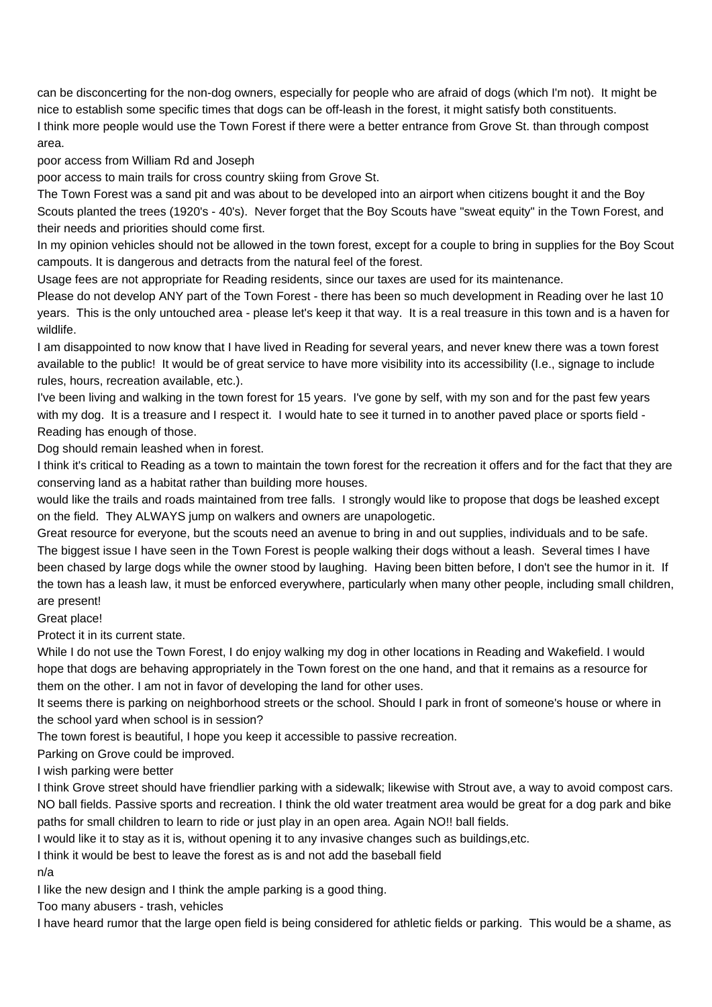can be disconcerting for the non-dog owners, especially for people who are afraid of dogs (which I'm not). It might be nice to establish some specific times that dogs can be off-leash in the forest, it might satisfy both constituents. I think more people would use the Town Forest if there were a better entrance from Grove St. than through compost area.

poor access from William Rd and Joseph

poor access to main trails for cross country skiing from Grove St.

The Town Forest was a sand pit and was about to be developed into an airport when citizens bought it and the Boy Scouts planted the trees (1920's - 40's). Never forget that the Boy Scouts have "sweat equity" in the Town Forest, and their needs and priorities should come first.

In my opinion vehicles should not be allowed in the town forest, except for a couple to bring in supplies for the Boy Scout campouts. It is dangerous and detracts from the natural feel of the forest.

Usage fees are not appropriate for Reading residents, since our taxes are used for its maintenance.

Please do not develop ANY part of the Town Forest - there has been so much development in Reading over he last 10 years. This is the only untouched area - please let's keep it that way. It is a real treasure in this town and is a haven for wildlife.

I am disappointed to now know that I have lived in Reading for several years, and never knew there was a town forest available to the public! It would be of great service to have more visibility into its accessibility (I.e., signage to include rules, hours, recreation available, etc.).

I've been living and walking in the town forest for 15 years. I've gone by self, with my son and for the past few years with my dog. It is a treasure and I respect it. I would hate to see it turned in to another paved place or sports field - Reading has enough of those.

Dog should remain leashed when in forest.

I think it's critical to Reading as a town to maintain the town forest for the recreation it offers and for the fact that they are conserving land as a habitat rather than building more houses.

would like the trails and roads maintained from tree falls. I strongly would like to propose that dogs be leashed except on the field. They ALWAYS jump on walkers and owners are unapologetic.

Great resource for everyone, but the scouts need an avenue to bring in and out supplies, individuals and to be safe. The biggest issue I have seen in the Town Forest is people walking their dogs without a leash. Several times I have been chased by large dogs while the owner stood by laughing. Having been bitten before, I don't see the humor in it. If the town has a leash law, it must be enforced everywhere, particularly when many other people, including small children, are present!

Great place!

Protect it in its current state.

While I do not use the Town Forest, I do enjoy walking my dog in other locations in Reading and Wakefield. I would hope that dogs are behaving appropriately in the Town forest on the one hand, and that it remains as a resource for them on the other. I am not in favor of developing the land for other uses.

It seems there is parking on neighborhood streets or the school. Should I park in front of someone's house or where in the school yard when school is in session?

The town forest is beautiful, I hope you keep it accessible to passive recreation.

Parking on Grove could be improved.

I wish parking were better

I think Grove street should have friendlier parking with a sidewalk; likewise with Strout ave, a way to avoid compost cars. NO ball fields. Passive sports and recreation. I think the old water treatment area would be great for a dog park and bike paths for small children to learn to ride or just play in an open area. Again NO!! ball fields.

I would like it to stay as it is, without opening it to any invasive changes such as buildings,etc.

I think it would be best to leave the forest as is and not add the baseball field

n/a

I like the new design and I think the ample parking is a good thing.

Too many abusers - trash, vehicles

I have heard rumor that the large open field is being considered for athletic fields or parking. This would be a shame, as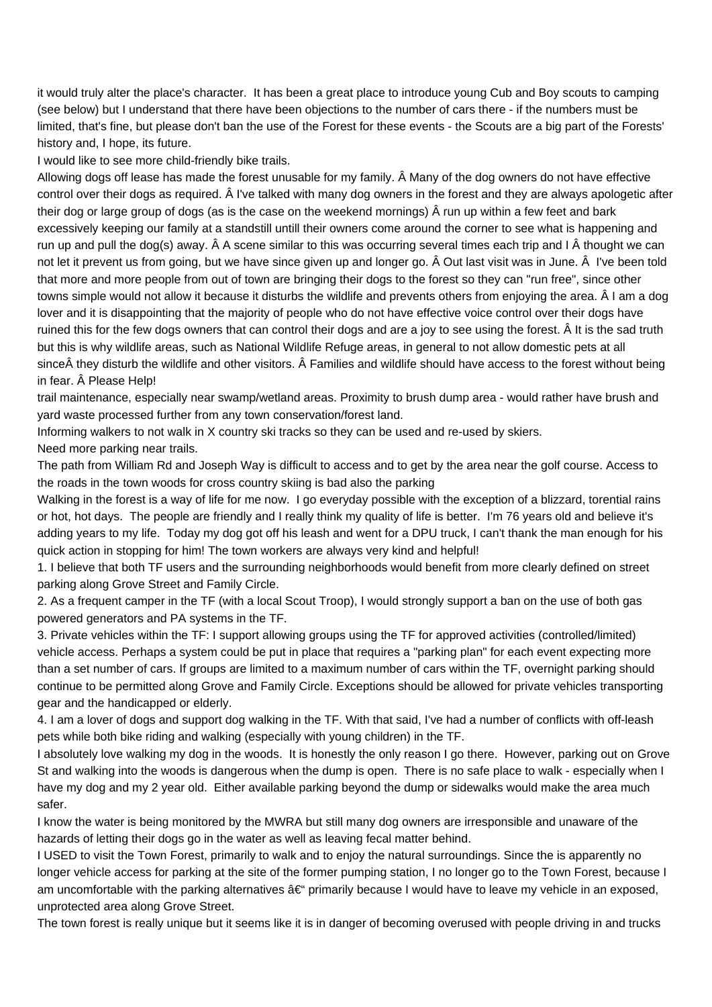it would truly alter the place's character. It has been a great place to introduce young Cub and Boy scouts to camping (see below) but I understand that there have been objections to the number of cars there - if the numbers must be limited, that's fine, but please don't ban the use of the Forest for these events - the Scouts are a big part of the Forests' history and, I hope, its future.

I would like to see more child-friendly bike trails.

Allowing dogs off lease has made the forest unusable for my family. Â Many of the dog owners do not have effective control over their dogs as required. Â I've talked with many dog owners in the forest and they are always apologetic after their dog or large group of dogs (as is the case on the weekend mornings) Â run up within a few feet and bark excessively keeping our family at a standstill untill their owners come around the corner to see what is happening and run up and pull the dog(s) away. Â A scene similar to this was occurring several times each trip and I Â thought we can not let it prevent us from going, but we have since given up and longer go. Â Out last visit was in June. Â I've been told that more and more people from out of town are bringing their dogs to the forest so they can "run free", since other towns simple would not allow it because it disturbs the wildlife and prevents others from enjoying the area. Â I am a dog lover and it is disappointing that the majority of people who do not have effective voice control over their dogs have ruined this for the few dogs owners that can control their dogs and are a joy to see using the forest. Â It is the sad truth but this is why wildlife areas, such as National Wildlife Refuge areas, in general to not allow domestic pets at all since they disturb the wildlife and other visitors. Â Families and wildlife should have access to the forest without being in fear. Â Please Help!

trail maintenance, especially near swamp/wetland areas. Proximity to brush dump area - would rather have brush and yard waste processed further from any town conservation/forest land.

Informing walkers to not walk in X country ski tracks so they can be used and re-used by skiers.

Need more parking near trails.

The path from William Rd and Joseph Way is difficult to access and to get by the area near the golf course. Access to the roads in the town woods for cross country skiing is bad also the parking

Walking in the forest is a way of life for me now. I go everyday possible with the exception of a blizzard, torential rains or hot, hot days. The people are friendly and I really think my quality of life is better. I'm 76 years old and believe it's adding years to my life. Today my dog got off his leash and went for a DPU truck, I can't thank the man enough for his quick action in stopping for him! The town workers are always very kind and helpful!

1. I believe that both TF users and the surrounding neighborhoods would benefit from more clearly defined on street parking along Grove Street and Family Circle.

2. As a frequent camper in the TF (with a local Scout Troop), I would strongly support a ban on the use of both gas powered generators and PA systems in the TF.

3. Private vehicles within the TF: I support allowing groups using the TF for approved activities (controlled/limited) vehicle access. Perhaps a system could be put in place that requires a "parking plan" for each event expecting more than a set number of cars. If groups are limited to a maximum number of cars within the TF, overnight parking should continue to be permitted along Grove and Family Circle. Exceptions should be allowed for private vehicles transporting gear and the handicapped or elderly.

4. I am a lover of dogs and support dog walking in the TF. With that said, I've had a number of conflicts with off-leash pets while both bike riding and walking (especially with young children) in the TF.

I absolutely love walking my dog in the woods. It is honestly the only reason I go there. However, parking out on Grove St and walking into the woods is dangerous when the dump is open. There is no safe place to walk - especially when I have my dog and my 2 year old. Either available parking beyond the dump or sidewalks would make the area much safer.

I know the water is being monitored by the MWRA but still many dog owners are irresponsible and unaware of the hazards of letting their dogs go in the water as well as leaving fecal matter behind.

I USED to visit the Town Forest, primarily to walk and to enjoy the natural surroundings. Since the is apparently no longer vehicle access for parking at the site of the former pumping station, I no longer go to the Town Forest, because I am uncomfortable with the parking alternatives  $\hat{a} \in \hat{a}$  primarily because I would have to leave my vehicle in an exposed, unprotected area along Grove Street.

The town forest is really unique but it seems like it is in danger of becoming overused with people driving in and trucks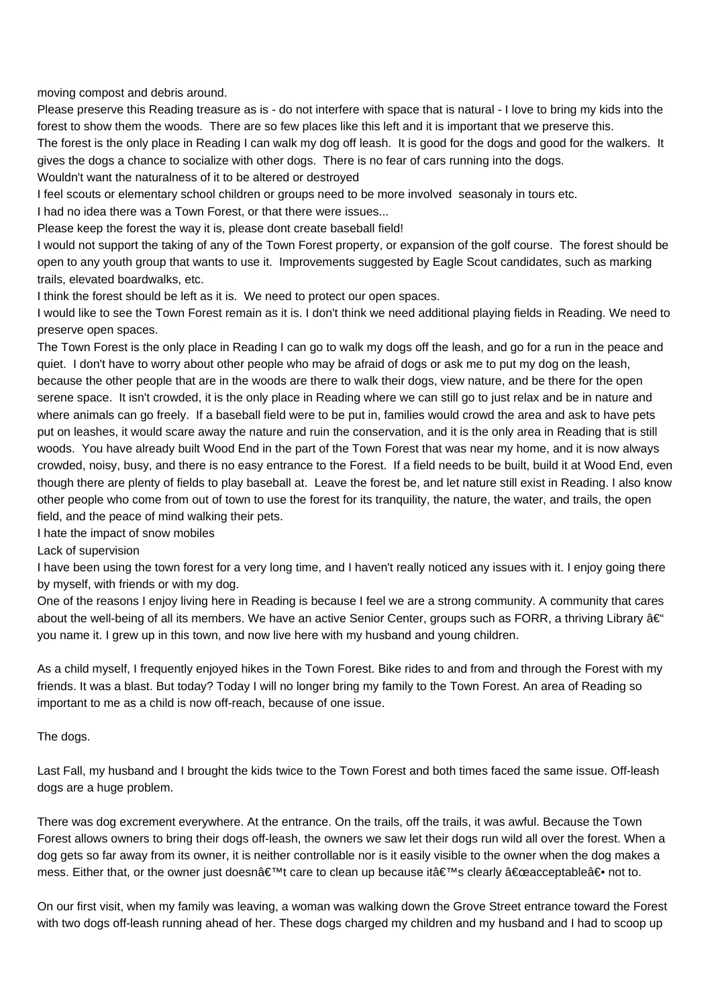moving compost and debris around.

Please preserve this Reading treasure as is - do not interfere with space that is natural - I love to bring my kids into the forest to show them the woods. There are so few places like this left and it is important that we preserve this.

The forest is the only place in Reading I can walk my dog off leash. It is good for the dogs and good for the walkers. It gives the dogs a chance to socialize with other dogs. There is no fear of cars running into the dogs.

Wouldn't want the naturalness of it to be altered or destroyed

I feel scouts or elementary school children or groups need to be more involved seasonaly in tours etc.

I had no idea there was a Town Forest, or that there were issues...

Please keep the forest the way it is, please dont create baseball field!

I would not support the taking of any of the Town Forest property, or expansion of the golf course. The forest should be open to any youth group that wants to use it. Improvements suggested by Eagle Scout candidates, such as marking trails, elevated boardwalks, etc.

I think the forest should be left as it is. We need to protect our open spaces.

I would like to see the Town Forest remain as it is. I don't think we need additional playing fields in Reading. We need to preserve open spaces.

The Town Forest is the only place in Reading I can go to walk my dogs off the leash, and go for a run in the peace and quiet. I don't have to worry about other people who may be afraid of dogs or ask me to put my dog on the leash, because the other people that are in the woods are there to walk their dogs, view nature, and be there for the open serene space. It isn't crowded, it is the only place in Reading where we can still go to just relax and be in nature and where animals can go freely. If a baseball field were to be put in, families would crowd the area and ask to have pets put on leashes, it would scare away the nature and ruin the conservation, and it is the only area in Reading that is still woods. You have already built Wood End in the part of the Town Forest that was near my home, and it is now always crowded, noisy, busy, and there is no easy entrance to the Forest. If a field needs to be built, build it at Wood End, even though there are plenty of fields to play baseball at. Leave the forest be, and let nature still exist in Reading. I also know other people who come from out of town to use the forest for its tranquility, the nature, the water, and trails, the open field, and the peace of mind walking their pets.

I hate the impact of snow mobiles

Lack of supervision

I have been using the town forest for a very long time, and I haven't really noticed any issues with it. I enjoy going there by myself, with friends or with my dog.

One of the reasons I enjoy living here in Reading is because I feel we are a strong community. A community that cares about the well-being of all its members. We have an active Senior Center, groups such as FORR, a thriving Library  $\hat{a}\in$ " you name it. I grew up in this town, and now live here with my husband and young children.

As a child myself, I frequently enjoyed hikes in the Town Forest. Bike rides to and from and through the Forest with my friends. It was a blast. But today? Today I will no longer bring my family to the Town Forest. An area of Reading so important to me as a child is now off-reach, because of one issue.

The dogs.

Last Fall, my husband and I brought the kids twice to the Town Forest and both times faced the same issue. Off-leash dogs are a huge problem.

There was dog excrement everywhere. At the entrance. On the trails, off the trails, it was awful. Because the Town Forest allows owners to bring their dogs off-leash, the owners we saw let their dogs run wild all over the forest. When a dog gets so far away from its owner, it is neither controllable nor is it easily visible to the owner when the dog makes a mess. Either that, or the owner just doesn't care to clean up because it's clearly "acceptable― not to.

On our first visit, when my family was leaving, a woman was walking down the Grove Street entrance toward the Forest with two dogs off-leash running ahead of her. These dogs charged my children and my husband and I had to scoop up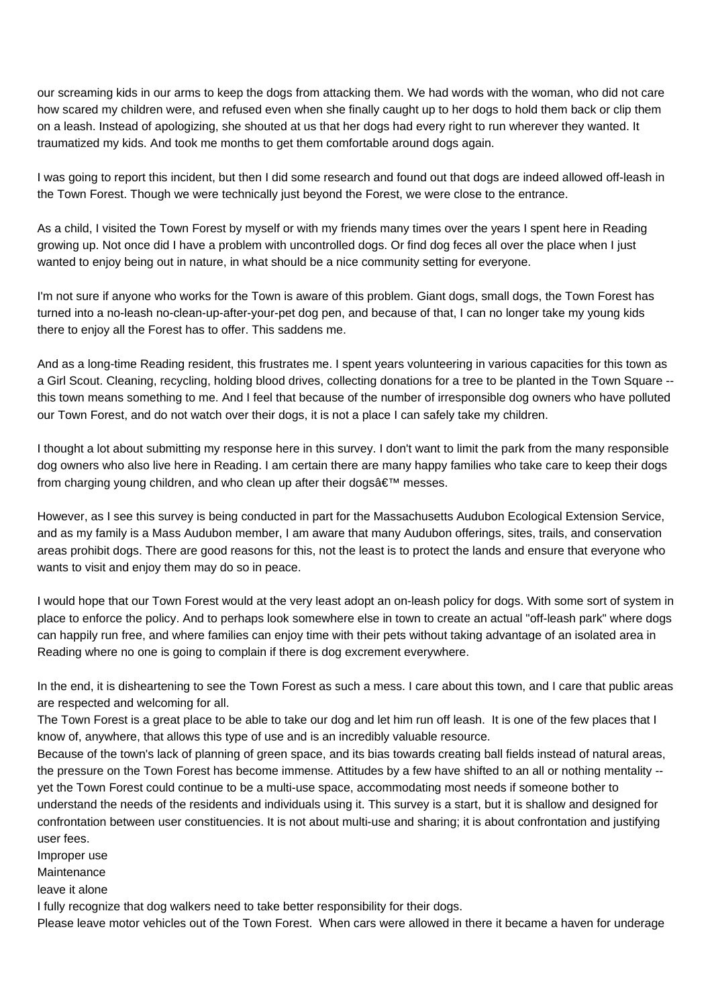our screaming kids in our arms to keep the dogs from attacking them. We had words with the woman, who did not care how scared my children were, and refused even when she finally caught up to her dogs to hold them back or clip them on a leash. Instead of apologizing, she shouted at us that her dogs had every right to run wherever they wanted. It traumatized my kids. And took me months to get them comfortable around dogs again.

I was going to report this incident, but then I did some research and found out that dogs are indeed allowed off-leash in the Town Forest. Though we were technically just beyond the Forest, we were close to the entrance.

As a child, I visited the Town Forest by myself or with my friends many times over the years I spent here in Reading growing up. Not once did I have a problem with uncontrolled dogs. Or find dog feces all over the place when I just wanted to enjoy being out in nature, in what should be a nice community setting for everyone.

I'm not sure if anyone who works for the Town is aware of this problem. Giant dogs, small dogs, the Town Forest has turned into a no-leash no-clean-up-after-your-pet dog pen, and because of that, I can no longer take my young kids there to enjoy all the Forest has to offer. This saddens me.

And as a long-time Reading resident, this frustrates me. I spent years volunteering in various capacities for this town as a Girl Scout. Cleaning, recycling, holding blood drives, collecting donations for a tree to be planted in the Town Square - this town means something to me. And I feel that because of the number of irresponsible dog owners who have polluted our Town Forest, and do not watch over their dogs, it is not a place I can safely take my children.

I thought a lot about submitting my response here in this survey. I don't want to limit the park from the many responsible dog owners who also live here in Reading. I am certain there are many happy families who take care to keep their dogs from charging young children, and who clean up after their dogs $\hat{a} \in \mathbb{N}$  messes.

However, as I see this survey is being conducted in part for the Massachusetts Audubon Ecological Extension Service, and as my family is a Mass Audubon member, I am aware that many Audubon offerings, sites, trails, and conservation areas prohibit dogs. There are good reasons for this, not the least is to protect the lands and ensure that everyone who wants to visit and enjoy them may do so in peace.

I would hope that our Town Forest would at the very least adopt an on-leash policy for dogs. With some sort of system in place to enforce the policy. And to perhaps look somewhere else in town to create an actual "off-leash park" where dogs can happily run free, and where families can enjoy time with their pets without taking advantage of an isolated area in Reading where no one is going to complain if there is dog excrement everywhere.

In the end, it is disheartening to see the Town Forest as such a mess. I care about this town, and I care that public areas are respected and welcoming for all.

The Town Forest is a great place to be able to take our dog and let him run off leash. It is one of the few places that I know of, anywhere, that allows this type of use and is an incredibly valuable resource.

Because of the town's lack of planning of green space, and its bias towards creating ball fields instead of natural areas, the pressure on the Town Forest has become immense. Attitudes by a few have shifted to an all or nothing mentality - yet the Town Forest could continue to be a multi-use space, accommodating most needs if someone bother to understand the needs of the residents and individuals using it. This survey is a start, but it is shallow and designed for confrontation between user constituencies. It is not about multi-use and sharing; it is about confrontation and justifying user fees.

Improper use

**Maintenance** 

leave it alone

I fully recognize that dog walkers need to take better responsibility for their dogs.

Please leave motor vehicles out of the Town Forest. When cars were allowed in there it became a haven for underage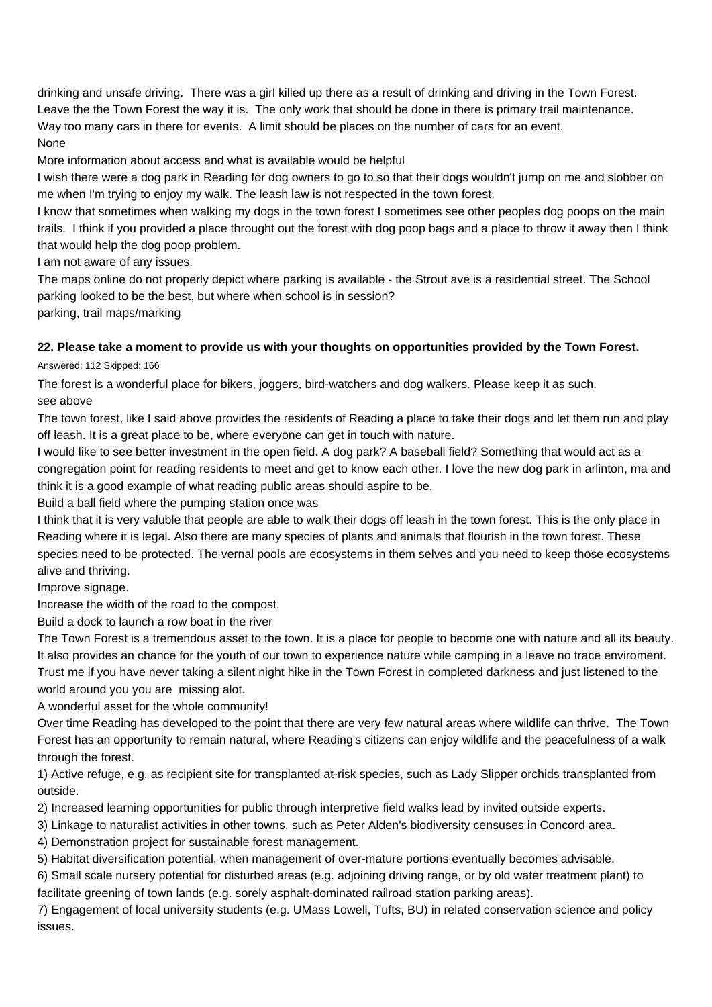drinking and unsafe driving. There was a girl killed up there as a result of drinking and driving in the Town Forest. Leave the the Town Forest the way it is. The only work that should be done in there is primary trail maintenance. Way too many cars in there for events. A limit should be places on the number of cars for an event. None

More information about access and what is available would be helpful

I wish there were a dog park in Reading for dog owners to go to so that their dogs wouldn't jump on me and slobber on me when I'm trying to enjoy my walk. The leash law is not respected in the town forest.

I know that sometimes when walking my dogs in the town forest I sometimes see other peoples dog poops on the main trails. I think if you provided a place throught out the forest with dog poop bags and a place to throw it away then I think that would help the dog poop problem.

I am not aware of any issues.

The maps online do not properly depict where parking is available - the Strout ave is a residential street. The School parking looked to be the best, but where when school is in session?

parking, trail maps/marking

### **22. Please take a moment to provide us with your thoughts on opportunities provided by the Town Forest.**

Answered: 112 Skipped: 166

The forest is a wonderful place for bikers, joggers, bird-watchers and dog walkers. Please keep it as such. see above

The town forest, like I said above provides the residents of Reading a place to take their dogs and let them run and play off leash. It is a great place to be, where everyone can get in touch with nature.

I would like to see better investment in the open field. A dog park? A baseball field? Something that would act as a congregation point for reading residents to meet and get to know each other. I love the new dog park in arlinton, ma and think it is a good example of what reading public areas should aspire to be.

Build a ball field where the pumping station once was

I think that it is very valuble that people are able to walk their dogs off leash in the town forest. This is the only place in Reading where it is legal. Also there are many species of plants and animals that flourish in the town forest. These species need to be protected. The vernal pools are ecosystems in them selves and you need to keep those ecosystems alive and thriving.

Improve signage.

Increase the width of the road to the compost.

Build a dock to launch a row boat in the river

The Town Forest is a tremendous asset to the town. It is a place for people to become one with nature and all its beauty. It also provides an chance for the youth of our town to experience nature while camping in a leave no trace enviroment. Trust me if you have never taking a silent night hike in the Town Forest in completed darkness and just listened to the world around you you are missing alot.

A wonderful asset for the whole community!

Over time Reading has developed to the point that there are very few natural areas where wildlife can thrive. The Town Forest has an opportunity to remain natural, where Reading's citizens can enjoy wildlife and the peacefulness of a walk through the forest.

1) Active refuge, e.g. as recipient site for transplanted at-risk species, such as Lady Slipper orchids transplanted from outside.

2) Increased learning opportunities for public through interpretive field walks lead by invited outside experts.

3) Linkage to naturalist activities in other towns, such as Peter Alden's biodiversity censuses in Concord area.

4) Demonstration project for sustainable forest management.

5) Habitat diversification potential, when management of over-mature portions eventually becomes advisable.

6) Small scale nursery potential for disturbed areas (e.g. adjoining driving range, or by old water treatment plant) to facilitate greening of town lands (e.g. sorely asphalt-dominated railroad station parking areas).

7) Engagement of local university students (e.g. UMass Lowell, Tufts, BU) in related conservation science and policy issues.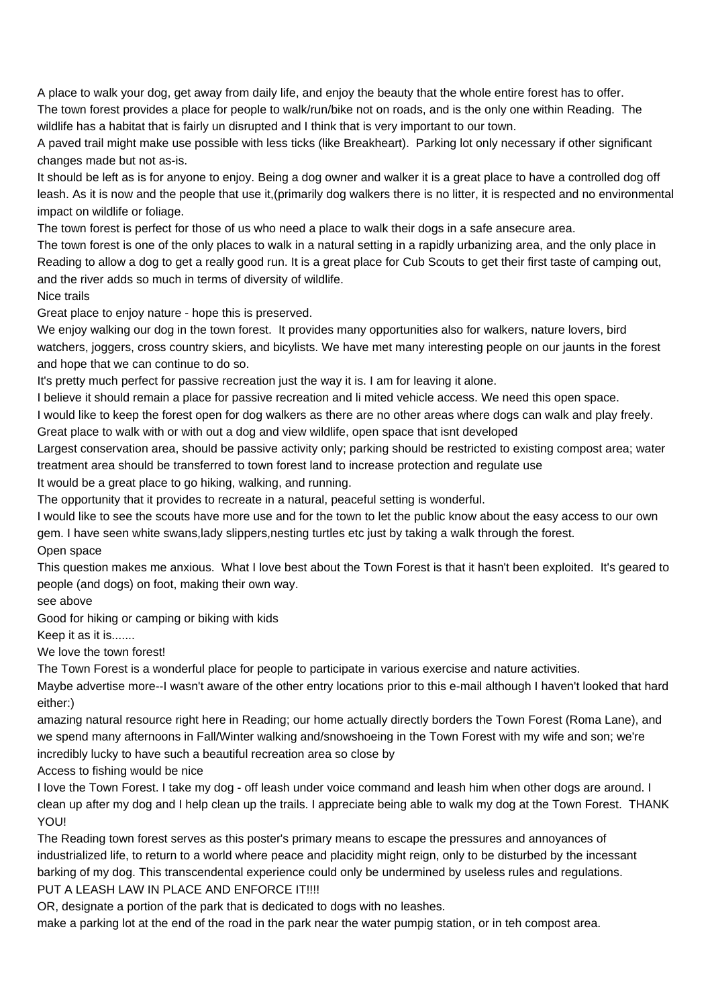A place to walk your dog, get away from daily life, and enjoy the beauty that the whole entire forest has to offer. The town forest provides a place for people to walk/run/bike not on roads, and is the only one within Reading. The wildlife has a habitat that is fairly un disrupted and I think that is very important to our town.

A paved trail might make use possible with less ticks (like Breakheart). Parking lot only necessary if other significant changes made but not as-is.

It should be left as is for anyone to enjoy. Being a dog owner and walker it is a great place to have a controlled dog off leash. As it is now and the people that use it,(primarily dog walkers there is no litter, it is respected and no environmental impact on wildlife or foliage.

The town forest is perfect for those of us who need a place to walk their dogs in a safe ansecure area.

The town forest is one of the only places to walk in a natural setting in a rapidly urbanizing area, and the only place in Reading to allow a dog to get a really good run. It is a great place for Cub Scouts to get their first taste of camping out, and the river adds so much in terms of diversity of wildlife.

Nice trails

Great place to enjoy nature - hope this is preserved.

We enjoy walking our dog in the town forest. It provides many opportunities also for walkers, nature lovers, bird watchers, joggers, cross country skiers, and bicylists. We have met many interesting people on our jaunts in the forest and hope that we can continue to do so.

It's pretty much perfect for passive recreation just the way it is. I am for leaving it alone.

I believe it should remain a place for passive recreation and li mited vehicle access. We need this open space.

I would like to keep the forest open for dog walkers as there are no other areas where dogs can walk and play freely. Great place to walk with or with out a dog and view wildlife, open space that isnt developed

Largest conservation area, should be passive activity only; parking should be restricted to existing compost area; water treatment area should be transferred to town forest land to increase protection and regulate use

It would be a great place to go hiking, walking, and running.

The opportunity that it provides to recreate in a natural, peaceful setting is wonderful.

I would like to see the scouts have more use and for the town to let the public know about the easy access to our own gem. I have seen white swans,lady slippers,nesting turtles etc just by taking a walk through the forest. Open space

This question makes me anxious. What I love best about the Town Forest is that it hasn't been exploited. It's geared to people (and dogs) on foot, making their own way.

see above

Good for hiking or camping or biking with kids

Keep it as it is.......

We love the town forest!

The Town Forest is a wonderful place for people to participate in various exercise and nature activities.

Maybe advertise more--I wasn't aware of the other entry locations prior to this e-mail although I haven't looked that hard either:)

amazing natural resource right here in Reading; our home actually directly borders the Town Forest (Roma Lane), and we spend many afternoons in Fall/Winter walking and/snowshoeing in the Town Forest with my wife and son; we're incredibly lucky to have such a beautiful recreation area so close by

Access to fishing would be nice

I love the Town Forest. I take my dog - off leash under voice command and leash him when other dogs are around. I clean up after my dog and I help clean up the trails. I appreciate being able to walk my dog at the Town Forest. THANK YOU!

The Reading town forest serves as this poster's primary means to escape the pressures and annoyances of industrialized life, to return to a world where peace and placidity might reign, only to be disturbed by the incessant barking of my dog. This transcendental experience could only be undermined by useless rules and regulations. PUT A LEASH LAW IN PLACE AND ENFORCE IT!!!!

OR, designate a portion of the park that is dedicated to dogs with no leashes.

make a parking lot at the end of the road in the park near the water pumpig station, or in teh compost area.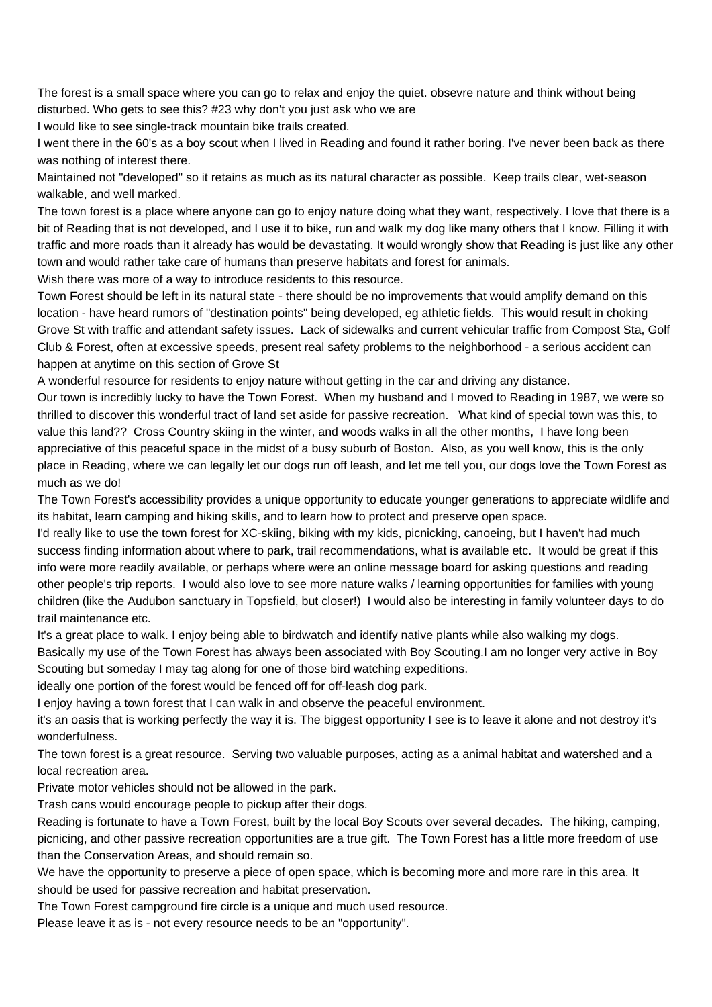The forest is a small space where you can go to relax and enjoy the quiet. obsevre nature and think without being disturbed. Who gets to see this? #23 why don't you just ask who we are

I would like to see single-track mountain bike trails created.

I went there in the 60's as a boy scout when I lived in Reading and found it rather boring. I've never been back as there was nothing of interest there.

Maintained not "developed" so it retains as much as its natural character as possible. Keep trails clear, wet-season walkable, and well marked.

The town forest is a place where anyone can go to enjoy nature doing what they want, respectively. I love that there is a bit of Reading that is not developed, and I use it to bike, run and walk my dog like many others that I know. Filling it with traffic and more roads than it already has would be devastating. It would wrongly show that Reading is just like any other town and would rather take care of humans than preserve habitats and forest for animals.

Wish there was more of a way to introduce residents to this resource.

Town Forest should be left in its natural state - there should be no improvements that would amplify demand on this location - have heard rumors of "destination points" being developed, eg athletic fields. This would result in choking Grove St with traffic and attendant safety issues. Lack of sidewalks and current vehicular traffic from Compost Sta, Golf Club & Forest, often at excessive speeds, present real safety problems to the neighborhood - a serious accident can happen at anytime on this section of Grove St

A wonderful resource for residents to enjoy nature without getting in the car and driving any distance.

Our town is incredibly lucky to have the Town Forest. When my husband and I moved to Reading in 1987, we were so thrilled to discover this wonderful tract of land set aside for passive recreation. What kind of special town was this, to value this land?? Cross Country skiing in the winter, and woods walks in all the other months, I have long been appreciative of this peaceful space in the midst of a busy suburb of Boston. Also, as you well know, this is the only place in Reading, where we can legally let our dogs run off leash, and let me tell you, our dogs love the Town Forest as much as we do!

The Town Forest's accessibility provides a unique opportunity to educate younger generations to appreciate wildlife and its habitat, learn camping and hiking skills, and to learn how to protect and preserve open space.

I'd really like to use the town forest for XC-skiing, biking with my kids, picnicking, canoeing, but I haven't had much success finding information about where to park, trail recommendations, what is available etc. It would be great if this info were more readily available, or perhaps where were an online message board for asking questions and reading other people's trip reports. I would also love to see more nature walks / learning opportunities for families with young children (like the Audubon sanctuary in Topsfield, but closer!) I would also be interesting in family volunteer days to do trail maintenance etc.

It's a great place to walk. I enjoy being able to birdwatch and identify native plants while also walking my dogs. Basically my use of the Town Forest has always been associated with Boy Scouting.I am no longer very active in Boy Scouting but someday I may tag along for one of those bird watching expeditions.

ideally one portion of the forest would be fenced off for off-leash dog park.

I enjoy having a town forest that I can walk in and observe the peaceful environment.

it's an oasis that is working perfectly the way it is. The biggest opportunity I see is to leave it alone and not destroy it's wonderfulness.

The town forest is a great resource. Serving two valuable purposes, acting as a animal habitat and watershed and a local recreation area.

Private motor vehicles should not be allowed in the park.

Trash cans would encourage people to pickup after their dogs.

Reading is fortunate to have a Town Forest, built by the local Boy Scouts over several decades. The hiking, camping, picnicing, and other passive recreation opportunities are a true gift. The Town Forest has a little more freedom of use than the Conservation Areas, and should remain so.

We have the opportunity to preserve a piece of open space, which is becoming more and more rare in this area. It should be used for passive recreation and habitat preservation.

The Town Forest campground fire circle is a unique and much used resource.

Please leave it as is - not every resource needs to be an "opportunity".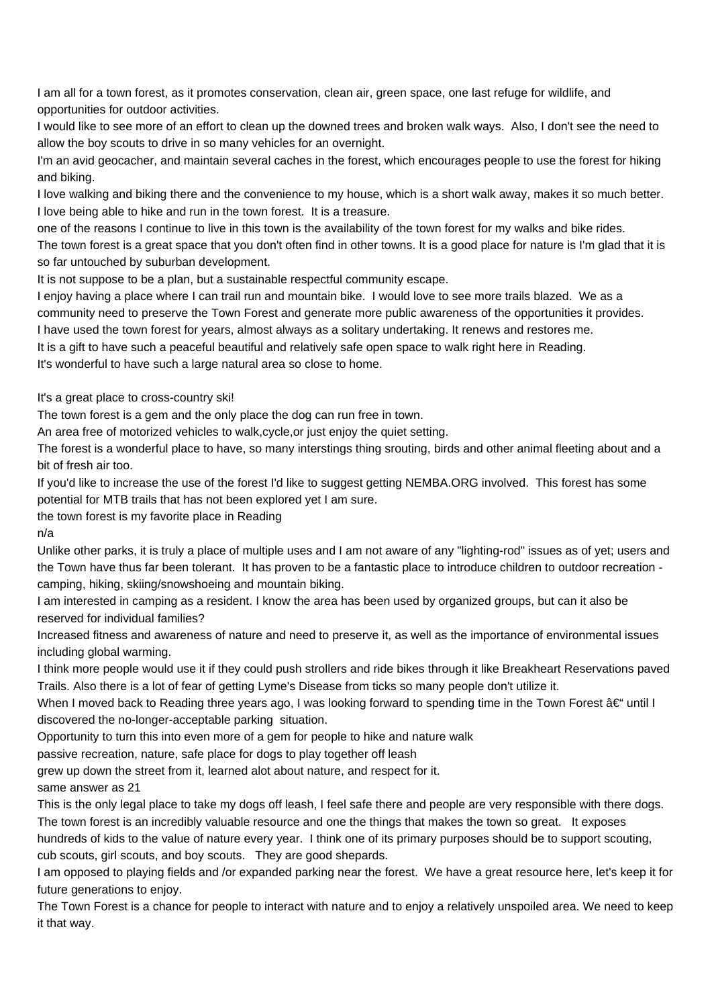I am all for a town forest, as it promotes conservation, clean air, green space, one last refuge for wildlife, and opportunities for outdoor activities.

I would like to see more of an effort to clean up the downed trees and broken walk ways. Also, I don't see the need to allow the boy scouts to drive in so many vehicles for an overnight.

I'm an avid geocacher, and maintain several caches in the forest, which encourages people to use the forest for hiking and biking.

I love walking and biking there and the convenience to my house, which is a short walk away, makes it so much better. I love being able to hike and run in the town forest. It is a treasure.

one of the reasons I continue to live in this town is the availability of the town forest for my walks and bike rides. The town forest is a great space that you don't often find in other towns. It is a good place for nature is I'm glad that it is so far untouched by suburban development.

It is not suppose to be a plan, but a sustainable respectful community escape.

I enjoy having a place where I can trail run and mountain bike. I would love to see more trails blazed. We as a community need to preserve the Town Forest and generate more public awareness of the opportunities it provides. I have used the town forest for years, almost always as a solitary undertaking. It renews and restores me.

It is a gift to have such a peaceful beautiful and relatively safe open space to walk right here in Reading. It's wonderful to have such a large natural area so close to home.

It's a great place to cross-country ski!

The town forest is a gem and the only place the dog can run free in town.

An area free of motorized vehicles to walk,cycle,or just enjoy the quiet setting.

The forest is a wonderful place to have, so many interstings thing srouting, birds and other animal fleeting about and a bit of fresh air too.

If you'd like to increase the use of the forest I'd like to suggest getting NEMBA.ORG involved. This forest has some potential for MTB trails that has not been explored yet I am sure.

the town forest is my favorite place in Reading

n/a

Unlike other parks, it is truly a place of multiple uses and I am not aware of any "lighting-rod" issues as of yet; users and the Town have thus far been tolerant. It has proven to be a fantastic place to introduce children to outdoor recreation camping, hiking, skiing/snowshoeing and mountain biking.

I am interested in camping as a resident. I know the area has been used by organized groups, but can it also be reserved for individual families?

Increased fitness and awareness of nature and need to preserve it, as well as the importance of environmental issues including global warming.

I think more people would use it if they could push strollers and ride bikes through it like Breakheart Reservations paved Trails. Also there is a lot of fear of getting Lyme's Disease from ticks so many people don't utilize it.

When I moved back to Reading three years ago, I was looking forward to spending time in the Town Forest  $\hat{a}\in$ " until I discovered the no-longer-acceptable parking situation.

Opportunity to turn this into even more of a gem for people to hike and nature walk

passive recreation, nature, safe place for dogs to play together off leash

grew up down the street from it, learned alot about nature, and respect for it.

same answer as 21

This is the only legal place to take my dogs off leash, I feel safe there and people are very responsible with there dogs. The town forest is an incredibly valuable resource and one the things that makes the town so great. It exposes

hundreds of kids to the value of nature every year. I think one of its primary purposes should be to support scouting, cub scouts, girl scouts, and boy scouts. They are good shepards.

I am opposed to playing fields and /or expanded parking near the forest. We have a great resource here, let's keep it for future generations to enjoy.

The Town Forest is a chance for people to interact with nature and to enjoy a relatively unspoiled area. We need to keep it that way.